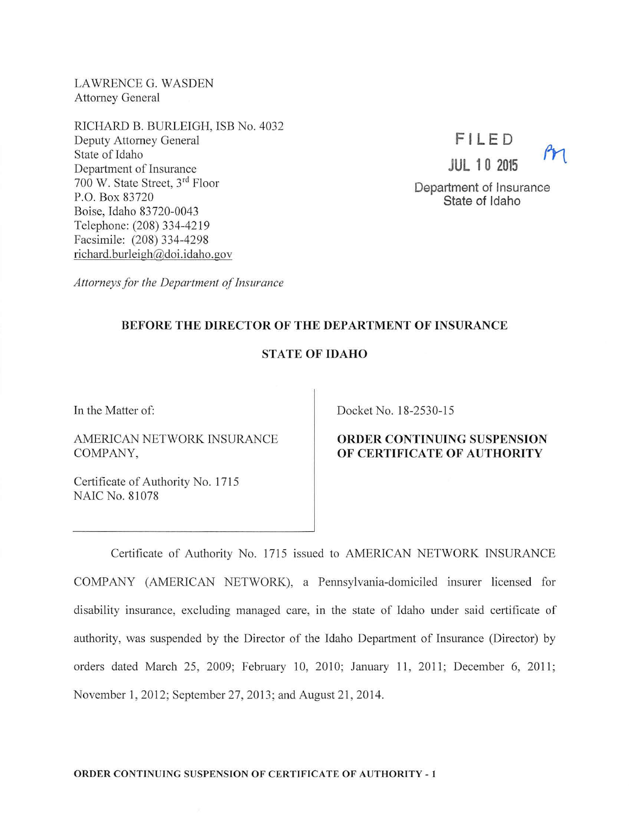LAWRENCE G. WASDEN Attorney General

RICHARD B. BURLEIGH, ISB No. 4032 Deputy Attorney General State of Idaho Department of Insurance 700 W. State Street, 3rd Floor P.O. Box 83720 Boise, Idaho 83720-0043 Telephone: (208) 334-4219 Facsimile: (208) 334-4298 richard.burleigh@doi.idaho.gov



Department of Insurance State of Idaho

*Attorneys for the Department of Insurance* 

# BEFORE THE DIRECTOR OF THE DEPARTMENT OF INSURANCE

### STATE OF IDAHO

In the Matter of:

AMERICAN NETWORK INSURANCE COMPANY,

Certificate of Authority No. 1715 NAIC No. 81078

Docket No. 18-2530-15

# ORDER CONTINUING SUSPENSION OF CERTIFICATE OF AUTHORITY

Certificate of Authority No. 1715 issued to AMERICAN NETWORK INSURANCE COMP ANY (AMERICAN NETWORK), a Pennsylvania-domiciled insurer licensed for disability insurance, excluding managed care, in the state of Idaho under said certificate of authority, was suspended by the Director of the Idaho Department of Insurance (Director) by orders dated March 25, 2009; February 10, 2010; January 11, 2011; December 6, 2011; November 1, 2012; September 27, 2013; and August 21, 2014.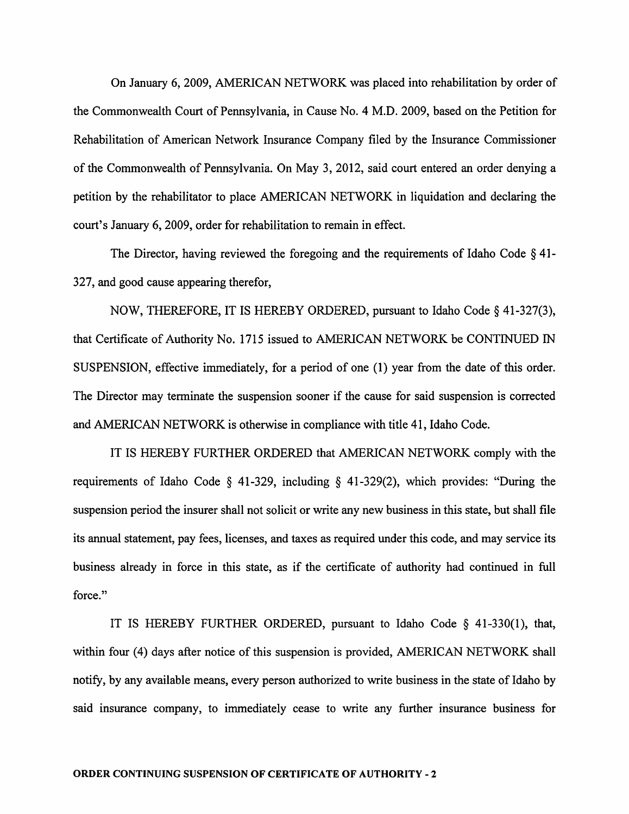On January 6, 2009, AMERICAN NETWORK was placed into rehabilitation by order of the Commonwealth Court of Pennsylvania, in Cause No. 4 M.D. 2009, based on the Petition for Rehabilitation of American Network Insurance Company filed by the Insurance Commissioner of the Commonwealth of Pennsylvania. On May 3, 2012, said court entered an order denying a petition by the rehabilitator to place AMERICAN NETWORK in liquidation and declaring the court's January 6, 2009, order for rehabilitation to remain in effect.

The Director, having reviewed the foregoing and the requirements of Idaho Code § 41- 327, and good cause appearing therefor,

NOW, THEREFORE, IT IS HEREBY ORDERED, pursuant to Idaho Code§ 41-327(3), that Certificate of Authority No. 1715 issued to AMERICAN NETWORK be CONTINUED IN SUSPENSION, effective immediately, for a period of one (1) year from the date of this order. The Director may terminate the suspension sooner if the cause for said suspension is corrected and AMERICAN NETWORK is otherwise in compliance with title 41, Idaho Code.

IT IS HEREBY FURTHER ORDERED that AMERICAN NETWORK comply with the requirements of Idaho Code  $\S$  41-329, including  $\S$  41-329(2), which provides: "During the suspension period the insurer shall not solicit or write any new business in this state, but shall file its annual statement, pay fees, licenses, and taxes as required under this code, and may service its business already in force in this state, as if the certificate of authority had continued in full force."

IT IS HEREBY FURTHER ORDERED, pursuant to Idaho Code § 41-330(1), that, within four (4) days after notice of this suspension is provided, AMERICAN NETWORK shall notify, by any available means, every person authorized to write business in the state of Idaho by said insurance company, to immediately cease to write any further insurance business for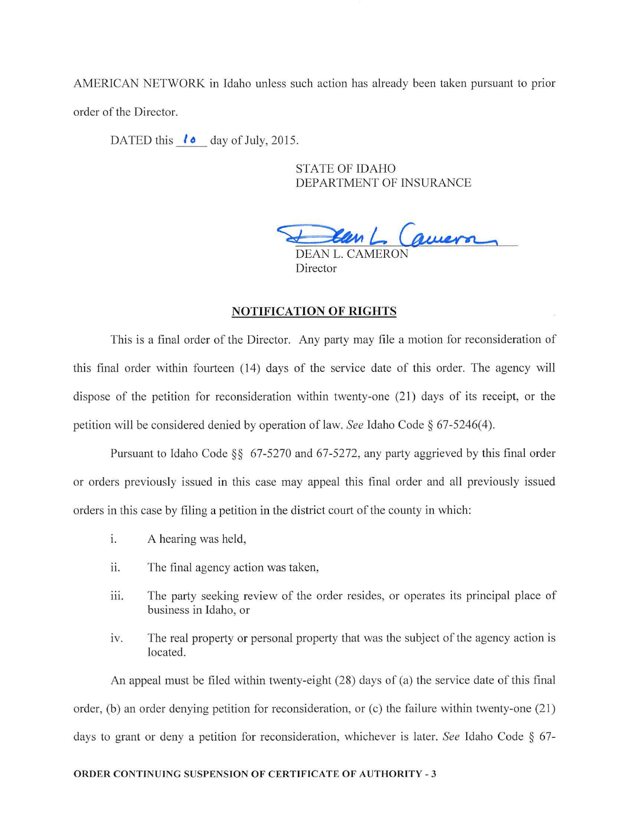AMERICAN NETWORK in Idaho unless such action bas already been taken pursuant to prior order of the Director.

DATED this  $\mathbf{1} \cdot \mathbf{a}$  day of July, 2015.

STATE OF IDAHO DEPARTMENT OF INSURANCE

en L. Camera

DEAN L. CAMERC Director

### NOTIFICATION OF RIGHTS

This is a final order of the Director. Any party may file a motion for reconsideration of this final order within fourteen (14) days of the service date of this order. The agency will dispose of the petition for reconsideration within twenty-one (21) days of its receipt, or the petition will be considered denied by operation oflaw. *See* Idaho Code§ 67-5246(4).

Pursuant to Idaho Code §§ 67-5270 and 67-5272, any party aggrieved by this final order or orders previously issued in this case may appeal this final order and all previously issued orders in this case by filing a petition in the district court of the county in which:

- 1. A hearing was held,
- ii. The final agency action was taken,
- iii. The party seeking review of the order resides, or operates its principal place of business in Idaho, or
- iv. The real property or personal property that was the subject of the agency action is located.

An appeal must be filed within twenty-eight  $(28)$  days of  $(a)$  the service date of this final order, (b) an order denying petition for reconsideration, or  $(c)$  the failure within twenty-one  $(21)$ days to grant or deny a petition for reconsideration, whichever is later. *See* Idaho Code § 67-

#### ORDER CONTINUING SUSPENSION OF CERTIFICATE OF AUTHORITY - 3